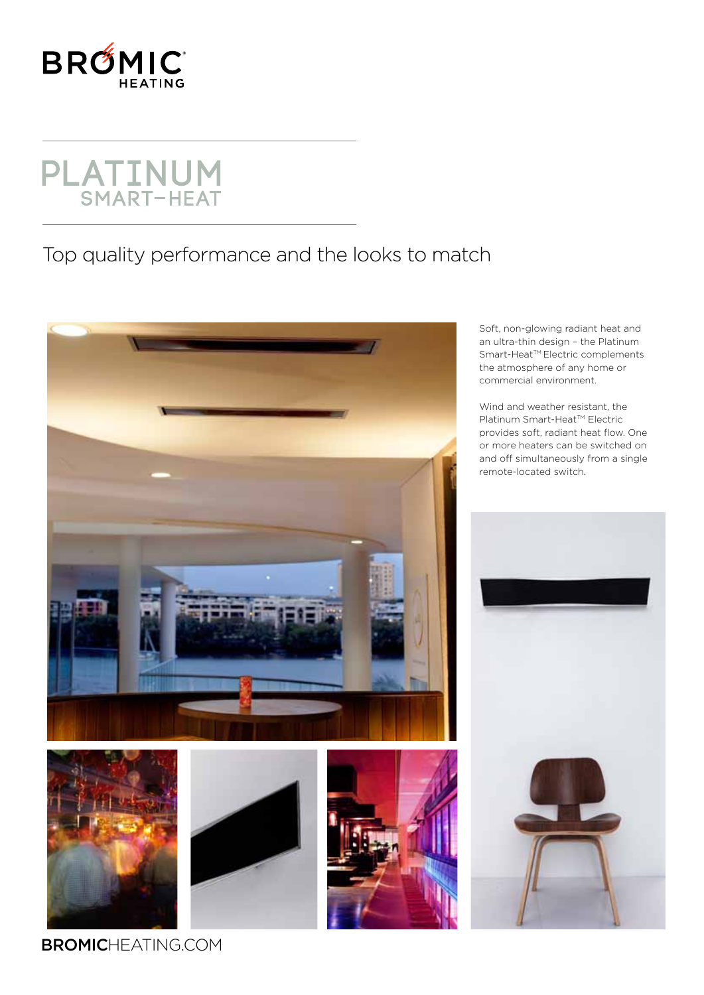

## **PLATINUM**<br>SMART-HEAT

## Top quality performance and the looks to match



Soft, non-glowing radiant heat and an ultra-thin design – the Platinum Smart-Heat™ Electric complements the atmosphere of any home or commercial environment.

Wind and weather resistant, the Platinum Smart-Heat™ Electric provides soft, radiant heat flow. One or more heaters can be switched on and off simultaneously from a single remote-located switch.



**BROMIC**HEATING.COM